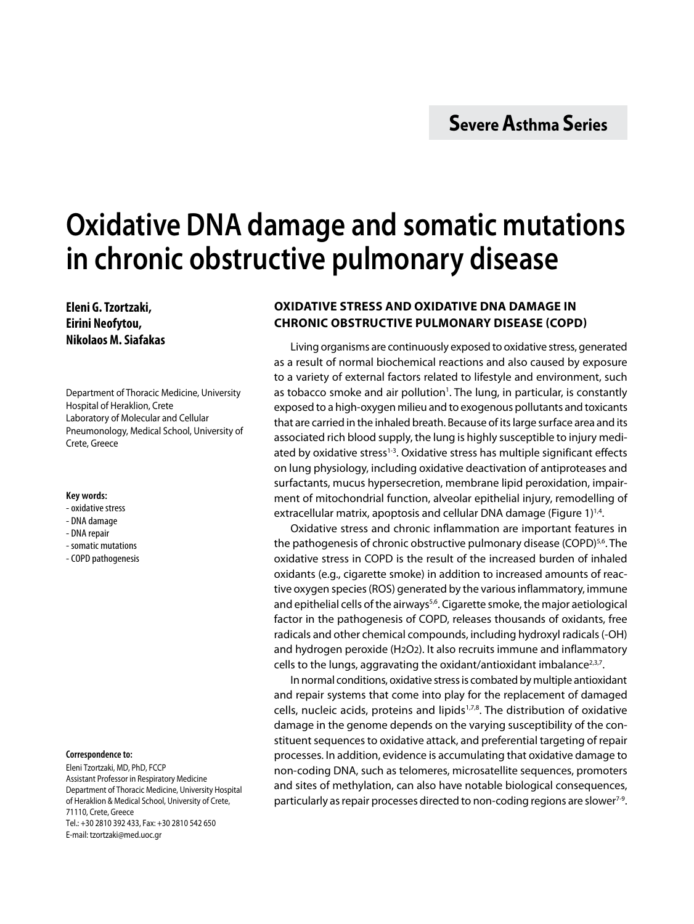# **Oxidative DNA damage and somatic mutations in chronic obstructive pulmonary disease**

**Eleni G. Tzortzaki, Eirini Neofytou, Nikolaos M. Siafakas**

Department of Thoracic Medicine, University Hospital of Heraklion, Crete Laboratory of Molecular and Cellular Pneumonology, Medical School, University of Crete, Greece

#### **Key words:**

- oxidative stress
- DNA damage
- DNA repair
- somatic mutations
- COPD pathogenesis

#### **Correspondence to:**

Eleni Tzortzaki, MD, PhD, FCCP Assistant Professor in Respiratory Medicine Department of Thoracic Medicine, University Hospital of Heraklion & Medical School, University of Crete, 71110, Crete, Greece Tel.: +30 2810 392 433, Fax: +30 2810 542 650 E-mail: tzortzaki@med.uoc.gr

# **Oxidative stress and oxidative DNA damage in chronic obstructive pulmonary disease (COPD)**

Living organisms are continuously exposed to oxidative stress, generated as a result of normal biochemical reactions and also caused by exposure to a variety of external factors related to lifestyle and environment, such as tobacco smoke and air pollution<sup>1</sup>. The lung, in particular, is constantly exposed to a high-oxygen milieu and to exogenous pollutants and toxicants that are carried in the inhaled breath. Because of its large surface area and its associated rich blood supply, the lung is highly susceptible to injury mediated by oxidative stress<sup>1-3</sup>. Oxidative stress has multiple significant effects on lung physiology, including oxidative deactivation of antiproteases and surfactants, mucus hypersecretion, membrane lipid peroxidation, impairment of mitochondrial function, alveolar epithelial injury, remodelling of extracellular matrix, apoptosis and cellular DNA damage (Figure 1)<sup>1,4</sup>.

Oxidative stress and chronic inflammation are important features in the pathogenesis of chronic obstructive pulmonary disease (COPD)<sup>5,6</sup>. The oxidative stress in COPD is the result of the increased burden of inhaled oxidants (e.g., cigarette smoke) in addition to increased amounts of reactive oxygen species (ROS) generated by the various inflammatory, immune and epithelial cells of the airways<sup>5,6</sup>. Cigarette smoke, the major aetiological factor in the pathogenesis of COPD, releases thousands of oxidants, free radicals and other chemical compounds, including hydroxyl radicals (-OH) and hydrogen peroxide (H2O2). It also recruits immune and inflammatory cells to the lungs, aggravating the oxidant/antioxidant imbalance $2,3,7$ .

In normal conditions, oxidative stress is combated by multiple antioxidant and repair systems that come into play for the replacement of damaged cells, nucleic acids, proteins and lipids<sup>1,7,8</sup>. The distribution of oxidative damage in the genome depends on the varying susceptibility of the constituent sequences to oxidative attack, and preferential targeting of repair processes. In addition, evidence is accumulating that oxidative damage to non-coding DNA, such as telomeres, microsatellite sequences, promoters and sites of methylation, can also have notable biological consequences, particularly as repair processes directed to non-coding regions are slower<sup>7-9</sup>.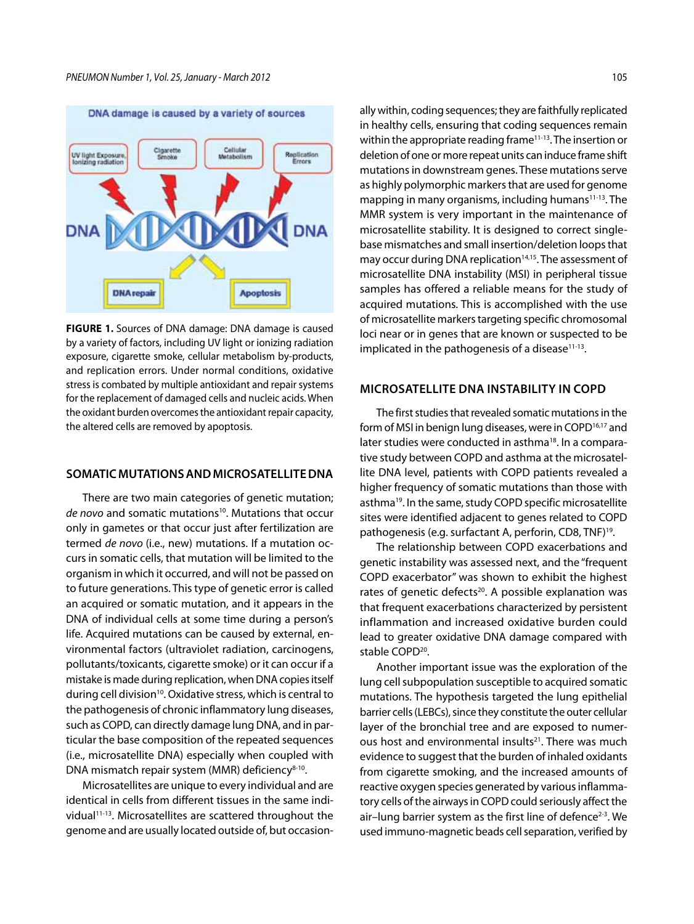

**FIGURE 1.** Sources of DNA damage: DNA damage is caused by a variety of factors, including UV light or ionizing radiation exposure, cigarette smoke, cellular metabolism by-products, and replication errors. Under normal conditions, oxidative stress is combated by multiple antioxidant and repair systems for the replacement of damaged cells and nucleic acids. When the oxidant burden overcomes the antioxidant repair capacity, the altered cells are removed by apoptosis.

### **Somatic mutationsand microsatellite DNA**

There are two main categories of genetic mutation; *de novo* and somatic mutations<sup>10</sup>. Mutations that occur only in gametes or that occur just after fertilization are termed *de novo* (i.e., new) mutations. If a mutation occurs in somatic cells, that mutation will be limited to the organism in which it occurred, and will not be passed on to future generations. This type of genetic error is called an acquired or somatic mutation, and it appears in the DNA of individual cells at some time during a person's life. Acquired mutations can be caused by external, environmental factors (ultraviolet radiation, carcinogens, pollutants/toxicants, cigarette smoke) or it can occur if a mistake is made during replication, when DNA copies itself during cell division<sup>10</sup>. Oxidative stress, which is central to the pathogenesis of chronic inflammatory lung diseases, such as COPD, can directly damage lung DNA, and in particular the base composition of the repeated sequences (i.e., microsatellite DNA) especially when coupled with DNA mismatch repair system (MMR) deficiency<sup>8-10</sup>.

Microsatellites are unique to every individual and are identical in cells from different tissues in the same individual11-13. Microsatellites are scattered throughout the genome and are usually located outside of, but occasion-

ally within, coding sequences; they are faithfully replicated in healthy cells, ensuring that coding sequences remain within the appropriate reading frame<sup>11-13</sup>. The insertion or deletion of one or more repeat units can induce frame shift mutations in downstream genes. These mutations serve as highly polymorphic markers that are used for genome mapping in many organisms, including humans<sup>11-13</sup>. The MMR system is very important in the maintenance of microsatellite stability. It is designed to correct singlebase mismatches and small insertion/deletion loops that may occur during DNA replication<sup>14,15</sup>. The assessment of microsatellite DNA instability (MSI) in peripheral tissue samples has offered a reliable means for the study of acquired mutations. This is accomplished with the use of microsatellite markers targeting specific chromosomal loci near or in genes that are known or suspected to be implicated in the pathogenesis of a disease $11-13$ .

## **Microsatellite DNA instability in COPD**

The first studies that revealed somatic mutations in the form of MSI in benign lung diseases, were in COPD<sup>16,17</sup> and later studies were conducted in asthma<sup>18</sup>. In a comparative study between COPD and asthma at the microsatellite DNA level, patients with COPD patients revealed a higher frequency of somatic mutations than those with asthma19. In the same, study COPD specific microsatellite sites were identified adjacent to genes related to COPD pathogenesis (e.g. surfactant A, perforin, CD8, TNF)19.

The relationship between COPD exacerbations and genetic instability was assessed next, and the "frequent COPD exacerbator" was shown to exhibit the highest rates of genetic defects<sup>20</sup>. A possible explanation was that frequent exacerbations characterized by persistent inflammation and increased oxidative burden could lead to greater oxidative DNA damage compared with stable COPD<sup>20</sup>.

Another important issue was the exploration of the lung cell subpopulation susceptible to acquired somatic mutations. The hypothesis targeted the lung epithelial barrier cells (LEBCs), since they constitute the outer cellular layer of the bronchial tree and are exposed to numerous host and environmental insults<sup>21</sup>. There was much evidence to suggest that the burden of inhaled oxidants from cigarette smoking, and the increased amounts of reactive oxygen species generated by various inflammatory cells of the airways in COPD could seriously affect the air-lung barrier system as the first line of defence<sup>2-3</sup>. We used immuno-magnetic beads cell separation, verified by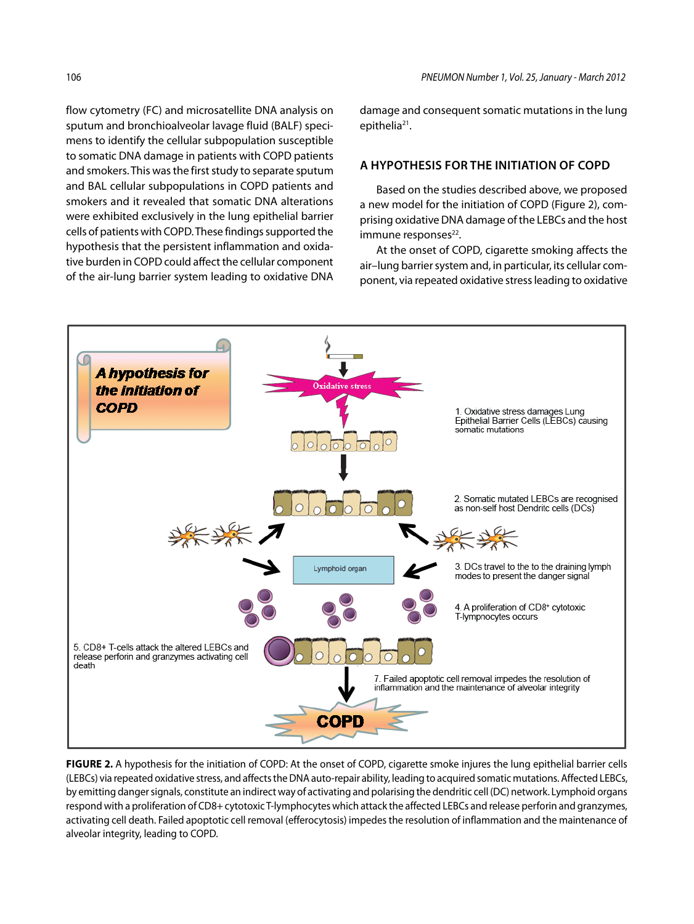flow cytometry (FC) and microsatellite DNA analysis on sputum and bronchioalveolar lavage fluid (BALF) specimens to identify the cellular subpopulation susceptible to somatic DNA damage in patients with COPD patients and smokers. This was the first study to separate sputum and BAL cellular subpopulations in COPD patients and smokers and it revealed that somatic DNA alterations were exhibited exclusively in the lung epithelial barrier cells of patients with COPD. These findings supported the hypothesis that the persistent inflammation and oxidative burden in COPD could affect the cellular component of the air-lung barrier system leading to oxidative DNA

damage and consequent somatic mutations in the lung epithelia<sup>21</sup>.

## **A hypothesis for the initiation of COPD**

Based on the studies described above, we proposed a new model for the initiation of COPD (Figure 2), comprising oxidative DNA damage of the LEBCs and the host immune responses<sup>22</sup>.

At the onset of COPD, cigarette smoking affects the air–lung barrier system and, in particular, its cellular component, via repeated oxidative stress leading to oxidative



**FIGURE 2.** A hypothesis for the initiation of COPD: At the onset of COPD, cigarette smoke injures the lung epithelial barrier cells (LEBCs) via repeated oxidative stress, and affects the DNA auto-repair ability, leading to acquired somatic mutations. Affected LEBCs, by emitting danger signals, constitute an indirect way of activating and polarising the dendritic cell (DC) network. Lymphoid organs respond with a proliferation of CD8+ cytotoxic T-lymphocytes which attack the affected LEBCs and release perforin and granzymes, activating cell death. Failed apoptotic cell removal (efferocytosis) impedes the resolution of inflammation and the maintenance of alveolar integrity, leading to COPD.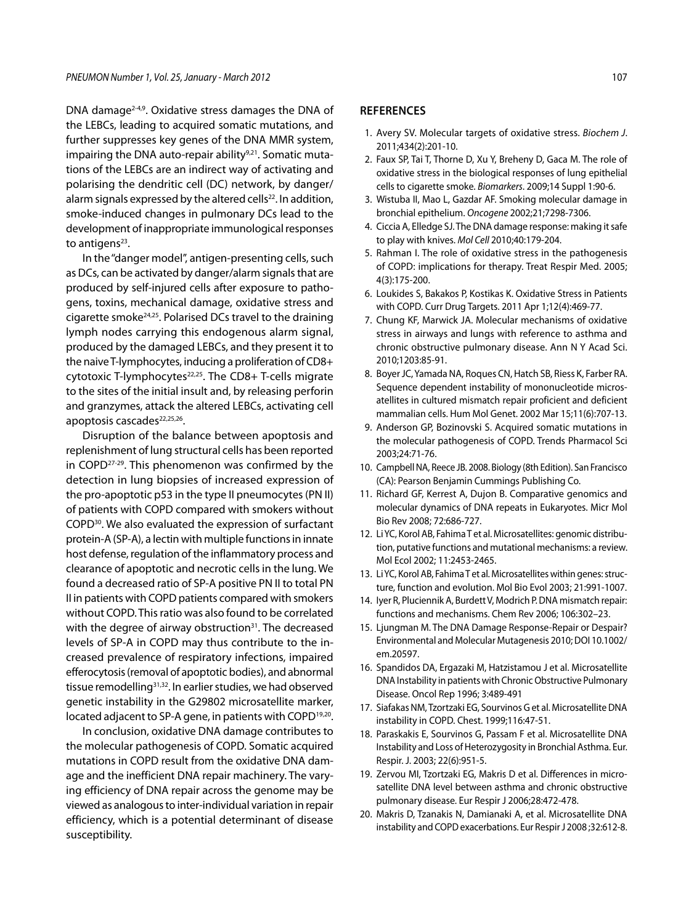DNA damage2-4,9. Oxidative stress damages the DNA of the LEBCs, leading to acquired somatic mutations, and further suppresses key genes of the DNA MMR system, impairing the DNA auto-repair ability<sup>9,21</sup>. Somatic mutations of the LEBCs are an indirect way of activating and polarising the dendritic cell (DC) network, by danger/ alarm signals expressed by the altered cells<sup>22</sup>. In addition, smoke-induced changes in pulmonary DCs lead to the development of inappropriate immunological responses to antigens $23$ .

In the "danger model", antigen-presenting cells, such as DCs, can be activated by danger/alarm signals that are produced by self-injured cells after exposure to pathogens, toxins, mechanical damage, oxidative stress and cigarette smoke24,25. Polarised DCs travel to the draining lymph nodes carrying this endogenous alarm signal, produced by the damaged LEBCs, and they present it to the naive T-lymphocytes, inducing a proliferation of CD8+ cytotoxic T-lymphocytes<sup>22,25</sup>. The CD8+ T-cells migrate to the sites of the initial insult and, by releasing perforin and granzymes, attack the altered LEBCs, activating cell apoptosis cascades<sup>22,25,26</sup>.

Disruption of the balance between apoptosis and replenishment of lung structural cells has been reported in COPD27-29. This phenomenon was confirmed by the detection in lung biopsies of increased expression of the pro-apoptotic p53 in the type II pneumocytes (PN II) of patients with COPD compared with smokers without COPD30. We also evaluated the expression of surfactant protein-A (SP-A), a lectin with multiple functions in innate host defense, regulation of the inflammatory process and clearance of apoptotic and necrotic cells in the lung. We found a decreased ratio of SP-A positive PN II to total PN II in patients with COPD patients compared with smokers without COPD. This ratio was also found to be correlated with the degree of airway obstruction<sup>31</sup>. The decreased levels of SP-A in COPD may thus contribute to the increased prevalence of respiratory infections, impaired efferocytosis (removal of apoptotic bodies), and abnormal tissue remodelling<sup>31,32</sup>. In earlier studies, we had observed genetic instability in the G29802 microsatellite marker, located adjacent to SP-A gene, in patients with COPD<sup>19,20</sup>.

In conclusion, oxidative DNA damage contributes to the molecular pathogenesis of COPD. Somatic acquired mutations in COPD result from the oxidative DNA damage and the inefficient DNA repair machinery. The varying efficiency of DNA repair across the genome may be viewed as analogous to inter-individual variation in repair efficiency, which is a potential determinant of disease susceptibility.

#### **REFERENCES**

- 1. Avery SV. Molecular targets of oxidative stress. *Biochem J*. 2011;434(2):201-10.
- 2. Faux SP, Tai T, Thorne D, Xu Y, Breheny D, Gaca M. The role of oxidative stress in the biological responses of lung epithelial cells to cigarette smoke. *Biomarkers*. 2009;14 Suppl 1:90-6.
- 3. Wistuba II, Mao L, Gazdar AF. Smoking molecular damage in bronchial epithelium. *Oncogene* 2002;21;7298-7306.
- 4. Ciccia A, Elledge SJ. The DNA damage response: making it safe to play with knives. *Mol Cell* 2010;40:179-204.
- 5. Rahman I. The role of oxidative stress in the pathogenesis of COPD: implications for therapy. Treat Respir Med. 2005; 4(3):175-200.
- 6. Loukides S, Bakakos P, Kostikas K. Oxidative Stress in Patients with COPD. Curr Drug Targets. 2011 Apr 1;12(4):469-77.
- 7. Chung KF, Marwick JA. Molecular mechanisms of oxidative stress in airways and lungs with reference to asthma and chronic obstructive pulmonary disease. Ann N Y Acad Sci. 2010;1203:85-91.
- 8. Boyer JC, Yamada NA, Roques CN, Hatch SB, Riess K, Farber RA. Sequence dependent instability of mononucleotide microsatellites in cultured mismatch repair proficient and deficient mammalian cells. Hum Mol Genet. 2002 Mar 15;11(6):707-13.
- 9. Anderson GP, Bozinovski S. Acquired somatic mutations in the molecular pathogenesis of COPD. Trends Pharmacol Sci 2003;24:71-76.
- 10. Campbell NA, Reece JB. 2008. Biology (8th Edition). San Francisco (CA): Pearson Benjamin Cummings Publishing Co.
- 11. Richard GF, Kerrest A, Dujon B. Comparative genomics and molecular dynamics of DNA repeats in Eukaryotes. Micr Mol Bio Rev 2008; 72:686-727.
- 12. Li YC, Korol AB, Fahima T et al. Microsatellites: genomic distribution, putative functions and mutational mechanisms: a review. Mol Ecol 2002; 11:2453-2465.
- 13. Li YC, Korol AB, Fahima T et al. Microsatellites within genes: structure, function and evolution. Mol Bio Evol 2003; 21:991-1007.
- 14. Iyer R, Pluciennik A, Burdett V, Modrich P. DNA mismatch repair: functions and mechanisms. Chem Rev 2006; 106:302–23.
- 15. Ljungman M. The DNA Damage Response-Repair or Despair? Environmental and Molecular Mutagenesis 2010; DOI 10.1002/ em.20597.
- 16. Spandidos DA, Ergazaki M, Hatzistamou J et al. Microsatellite DNA Instability in patients with Chronic Obstructive Pulmonary Disease. Oncol Rep 1996; 3:489-491
- 17. Siafakas NM, Tzortzaki EG, Sourvinos G et al. Microsatellite DNA instability in COPD. Chest. 1999;116:47-51.
- 18. Paraskakis E, Sourvinos G, Passam F et al. Microsatellite DNA Instability and Loss of Heterozygosity in Bronchial Asthma. Eur. Respir. J. 2003; 22(6):951-5.
- 19. Zervou MI, Tzortzaki EG, Makris D et al. Differences in microsatellite DNA level between asthma and chronic obstructive pulmonary disease. Eur Respir J 2006;28:472-478.
- 20. Makris D, Tzanakis N, Damianaki A, et al. Microsatellite DNA instability and COPD exacerbations. Eur Respir J 2008 ;32:612-8.